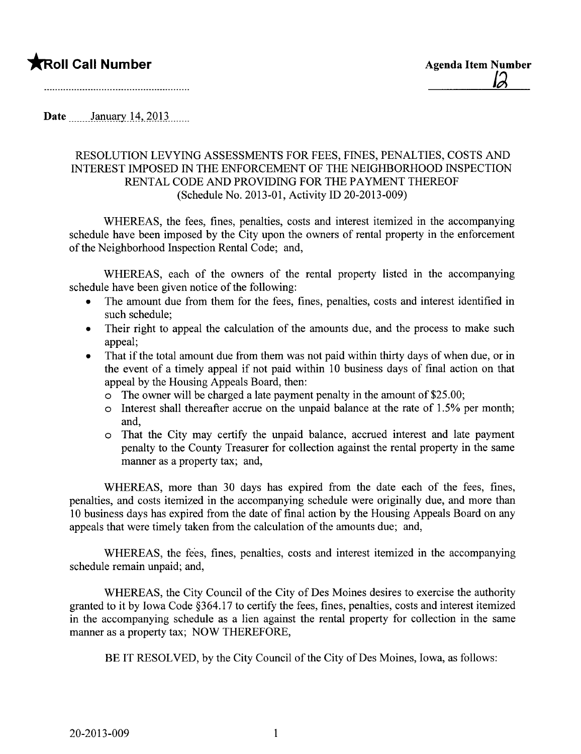## **The Second Call Number Agenda Item Number Agenda Item Number**

Date **Manuary 14, 2013** 

## RESOLUTION LEVYING ASSESSMENTS FOR FEES, FINES, PENALTIES, COSTS AND INTEREST IMPOSED IN THE ENFORCEMENT OF THE NEIGHBORHOOD INSPECTION RENTAL CODE AND PROVIDING FOR THE PAYMENT THEREOF (Schedule No. 2013-01, Activity ID 20-2013-009)

WHEREAS, the fees, fines, penalties, costs and interest itemized in the accompanying schedule have been imposed by the City upon the owners of rental property in the enforcement of the Neighborhood Inspection Rental Code; and,

WHEREAS, each of the owners of the rental property listed in the accompanying schedule have been given notice of the following:

- . The amount due from them for the fees, fines, penalties, costs and interest identified in such schedule;
- . Their right to appeal the calculation of the amounts due, and the process to make such appeal;
- . That if the total amount due from them was not paid within thirty days of when due, or in the event of a timely appeal if not paid within 10 business days of final action on that appeal by the Housing Appeals Board, then:
	- $\circ$  The owner will be charged a late payment penalty in the amount of \$25.00;
	- o Interest shall thereafter accrue on the unpaid balance at the rate of 1.5% per month; and,
	- o That the City may certify the unpaid balance, accrued interest and late payment penalty to the County Treasurer for collection against the rental property in the same maner as a property tax; and,

WHEREAS, more than 30 days has expired from the date each of the fees, fines, penalties, and costs itemized in the accompanying schedule were originally due, and more than 10 business days has expired from the date of final action by the Housing Appeals Board on any appeals that were timely taken from the calculation of the amounts due; and,

WHEREAS, the fees, fines, penalties, costs and interest itemized in the accompanying schedule remain unpaid; and,

WHEREAS, the City Council of the City of Des Moines desires to exercise the authority granted to it by Iowa Code §364.17 to certify the fees, fines, penalties, costs and interest itemized in the accompanying schedule as a lien against the rental property for collection in the same manner as a property tax; NOW THEREFORE,

BE IT RESOLVED, by the City Council of the City of Des Moines, Iowa, as follows: